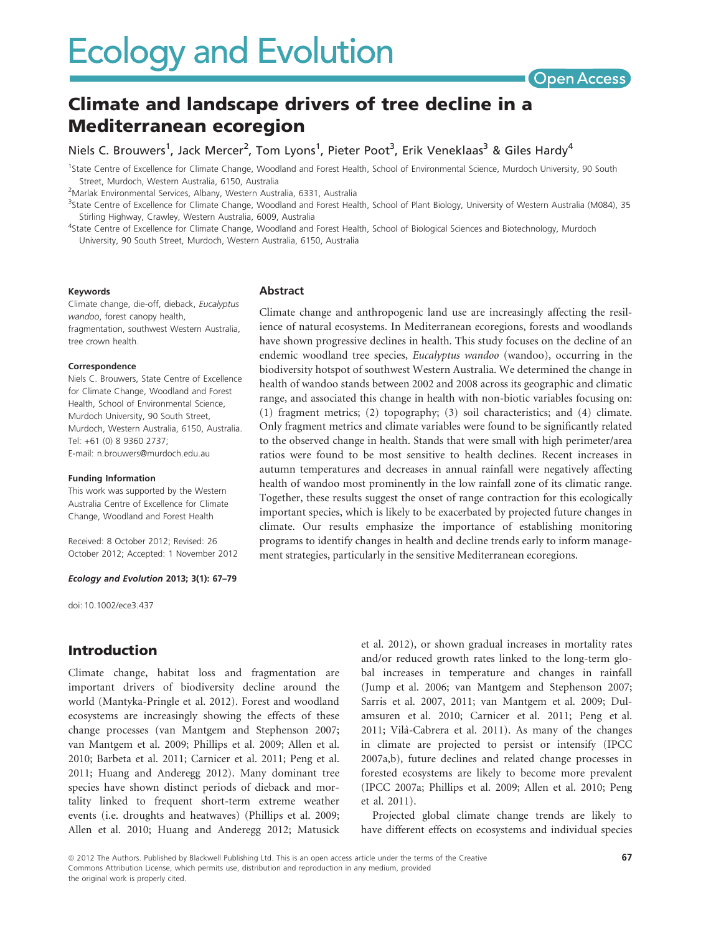

# Climate and landscape drivers of tree decline in a Mediterranean ecoregion

Niels C. Brouwers<sup>1</sup>, Jack Mercer<sup>2</sup>, Tom Lvons<sup>1</sup>, Pieter Poot<sup>3</sup>, Erik Veneklaas<sup>3</sup> & Giles Hardv<sup>4</sup>

<sup>1</sup>State Centre of Excellence for Climate Change, Woodland and Forest Health, School of Environmental Science, Murdoch University, 90 South Street, Murdoch, Western Australia, 6150, Australia

2 Marlak Environmental Services, Albany, Western Australia, 6331, Australia

<sup>3</sup>State Centre of Excellence for Climate Change, Woodland and Forest Health, School of Plant Biology, University of Western Australia (M084), 35 Stirling Highway, Crawley, Western Australia, 6009, Australia

4 State Centre of Excellence for Climate Change, Woodland and Forest Health, School of Biological Sciences and Biotechnology, Murdoch University, 90 South Street, Murdoch, Western Australia, 6150, Australia

#### Keywords

Climate change, die-off, dieback, Eucalyptus wandoo, forest canopy health, fragmentation, southwest Western Australia, tree crown health.

#### Correspondence

Niels C. Brouwers, State Centre of Excellence for Climate Change, Woodland and Forest Health, School of Environmental Science, Murdoch University, 90 South Street, Murdoch, Western Australia, 6150, Australia. Tel: +61 (0) 8 9360 2737; E-mail: n.brouwers@murdoch.edu.au

#### Funding Information

This work was supported by the Western Australia Centre of Excellence for Climate Change, Woodland and Forest Health

Received: 8 October 2012; Revised: 26 October 2012; Accepted: 1 November 2012

#### Ecology and Evolution 2013; 3(1): 67–79

doi: 10.1002/ece3.437

# Introduction

Climate change, habitat loss and fragmentation are important drivers of biodiversity decline around the world (Mantyka-Pringle et al. 2012). Forest and woodland ecosystems are increasingly showing the effects of these change processes (van Mantgem and Stephenson 2007; van Mantgem et al. 2009; Phillips et al. 2009; Allen et al. 2010; Barbeta et al. 2011; Carnicer et al. 2011; Peng et al. 2011; Huang and Anderegg 2012). Many dominant tree species have shown distinct periods of dieback and mortality linked to frequent short-term extreme weather events (i.e. droughts and heatwaves) (Phillips et al. 2009; Allen et al. 2010; Huang and Anderegg 2012; Matusick

# Abstract

Climate change and anthropogenic land use are increasingly affecting the resilience of natural ecosystems. In Mediterranean ecoregions, forests and woodlands have shown progressive declines in health. This study focuses on the decline of an endemic woodland tree species, *Eucalyptus wandoo* (wandoo), occurring in the biodiversity hotspot of southwest Western Australia. We determined the change in health of wandoo stands between 2002 and 2008 across its geographic and climatic range, and associated this change in health with non-biotic variables focusing on: (1) fragment metrics; (2) topography; (3) soil characteristics; and (4) climate. Only fragment metrics and climate variables were found to be significantly related to the observed change in health. Stands that were small with high perimeter/area ratios were found to be most sensitive to health declines. Recent increases in autumn temperatures and decreases in annual rainfall were negatively affecting health of wandoo most prominently in the low rainfall zone of its climatic range. Together, these results suggest the onset of range contraction for this ecologically important species, which is likely to be exacerbated by projected future changes in climate. Our results emphasize the importance of establishing monitoring programs to identify changes in health and decline trends early to inform management strategies, particularly in the sensitive Mediterranean ecoregions.

> et al. 2012), or shown gradual increases in mortality rates and/or reduced growth rates linked to the long-term global increases in temperature and changes in rainfall (Jump et al. 2006; van Mantgem and Stephenson 2007; Sarris et al. 2007, 2011; van Mantgem et al. 2009; Dulamsuren et al. 2010; Carnicer et al. 2011; Peng et al. 2011; Vila-Cabrera et al. 2011). As many of the changes in climate are projected to persist or intensify (IPCC 2007a,b), future declines and related change processes in forested ecosystems are likely to become more prevalent (IPCC 2007a; Phillips et al. 2009; Allen et al. 2010; Peng et al. 2011).

> Projected global climate change trends are likely to have different effects on ecosystems and individual species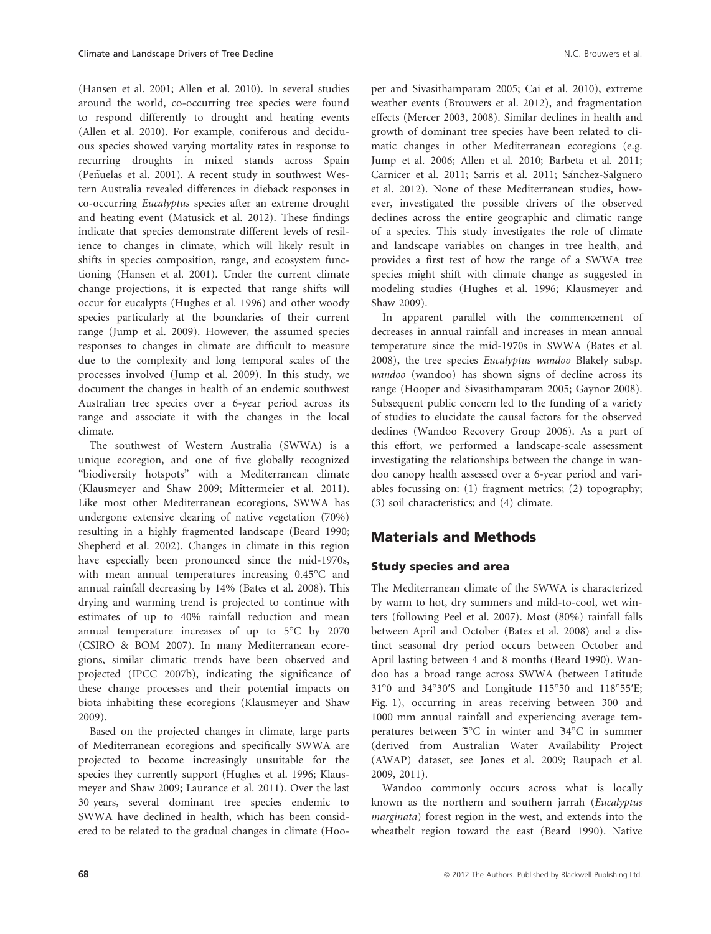(Hansen et al. 2001; Allen et al. 2010). In several studies around the world, co-occurring tree species were found to respond differently to drought and heating events (Allen et al. 2010). For example, coniferous and deciduous species showed varying mortality rates in response to recurring droughts in mixed stands across Spain (Peñuelas et al. 2001). A recent study in southwest Western Australia revealed differences in dieback responses in co-occurring Eucalyptus species after an extreme drought and heating event (Matusick et al. 2012). These findings indicate that species demonstrate different levels of resilience to changes in climate, which will likely result in shifts in species composition, range, and ecosystem functioning (Hansen et al. 2001). Under the current climate change projections, it is expected that range shifts will occur for eucalypts (Hughes et al. 1996) and other woody species particularly at the boundaries of their current range (Jump et al. 2009). However, the assumed species responses to changes in climate are difficult to measure due to the complexity and long temporal scales of the processes involved (Jump et al. 2009). In this study, we document the changes in health of an endemic southwest Australian tree species over a 6-year period across its range and associate it with the changes in the local climate.

The southwest of Western Australia (SWWA) is a unique ecoregion, and one of five globally recognized "biodiversity hotspots" with a Mediterranean climate (Klausmeyer and Shaw 2009; Mittermeier et al. 2011). Like most other Mediterranean ecoregions, SWWA has undergone extensive clearing of native vegetation  $(70%)$ resulting in a highly fragmented landscape (Beard 1990; Shepherd et al. 2002). Changes in climate in this region have especially been pronounced since the mid-1970s, with mean annual temperatures increasing 0.45°C and annual rainfall decreasing by 14% (Bates et al. 2008). This drying and warming trend is projected to continue with estimates of up to 40% rainfall reduction and mean annual temperature increases of up to 5°C by 2070 (CSIRO & BOM 2007). In many Mediterranean ecoregions, similar climatic trends have been observed and projected (IPCC 2007b), indicating the significance of these change processes and their potential impacts on biota inhabiting these ecoregions (Klausmeyer and Shaw 2009).

Based on the projected changes in climate, large parts of Mediterranean ecoregions and specifically SWWA are projected to become increasingly unsuitable for the species they currently support (Hughes et al. 1996; Klausmeyer and Shaw 2009; Laurance et al. 2011). Over the last 30 years, several dominant tree species endemic to SWWA have declined in health, which has been considered to be related to the gradual changes in climate (Hooper and Sivasithamparam 2005; Cai et al. 2010), extreme weather events (Brouwers et al. 2012), and fragmentation effects (Mercer 2003, 2008). Similar declines in health and growth of dominant tree species have been related to climatic changes in other Mediterranean ecoregions (e.g. Jump et al. 2006; Allen et al. 2010; Barbeta et al. 2011; Carnicer et al. 2011; Sarris et al. 2011; Sánchez-Salguero et al. 2012). None of these Mediterranean studies, however, investigated the possible drivers of the observed declines across the entire geographic and climatic range of a species. This study investigates the role of climate and landscape variables on changes in tree health, and provides a first test of how the range of a SWWA tree species might shift with climate change as suggested in modeling studies (Hughes et al. 1996; Klausmeyer and Shaw 2009).

In apparent parallel with the commencement of decreases in annual rainfall and increases in mean annual temperature since the mid-1970s in SWWA (Bates et al. 2008), the tree species Eucalyptus wandoo Blakely subsp. wandoo (wandoo) has shown signs of decline across its range (Hooper and Sivasithamparam 2005; Gaynor 2008). Subsequent public concern led to the funding of a variety of studies to elucidate the causal factors for the observed declines (Wandoo Recovery Group 2006). As a part of this effort, we performed a landscape-scale assessment investigating the relationships between the change in wandoo canopy health assessed over a 6-year period and variables focussing on: (1) fragment metrics; (2) topography; (3) soil characteristics; and (4) climate.

# Materials and Methods

# Study species and area

The Mediterranean climate of the SWWA is characterized by warm to hot, dry summers and mild-to-cool, wet winters (following Peel et al. 2007). Most (80%) rainfall falls between April and October (Bates et al. 2008) and a distinct seasonal dry period occurs between October and April lasting between 4 and 8 months (Beard 1990). Wandoo has a broad range across SWWA (between Latitude 31°0 and 34°30′S and Longitude 115°50 and 118°55′E; Fig. 1), occurring in areas receiving between 300 and 1000 mm annual rainfall and experiencing average temperatures between  $5^{\circ}$ C in winter and  $34^{\circ}$ C in summer (derived from Australian Water Availability Project (AWAP) dataset, see Jones et al. 2009; Raupach et al. 2009, 2011).

Wandoo commonly occurs across what is locally known as the northern and southern jarrah (Eucalyptus marginata) forest region in the west, and extends into the wheatbelt region toward the east (Beard 1990). Native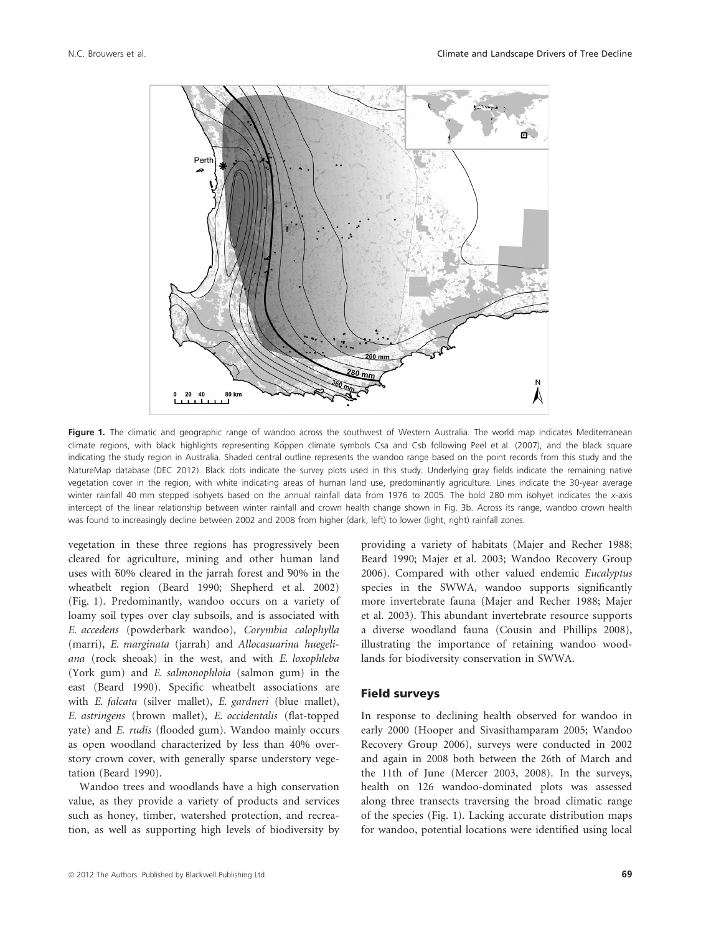

Figure 1. The climatic and geographic range of wandoo across the southwest of Western Australia. The world map indicates Mediterranean climate regions, with black highlights representing Köppen climate symbols Csa and Csb following Peel et al. (2007), and the black square indicating the study region in Australia. Shaded central outline represents the wandoo range based on the point records from this study and the NatureMap database (DEC 2012). Black dots indicate the survey plots used in this study. Underlying gray fields indicate the remaining native vegetation cover in the region, with white indicating areas of human land use, predominantly agriculture. Lines indicate the 30-year average winter rainfall 40 mm stepped isohyets based on the annual rainfall data from 1976 to 2005. The bold 280 mm isohyet indicates the x-axis intercept of the linear relationship between winter rainfall and crown health change shown in Fig. 3b. Across its range, wandoo crown health was found to increasingly decline between 2002 and 2008 from higher (dark, left) to lower (light, right) rainfall zones.

vegetation in these three regions has progressively been cleared for agriculture, mining and other human land uses with 60% cleared in the jarrah forest and 90% in the wheatbelt region (Beard 1990; Shepherd et al. 2002) (Fig. 1). Predominantly, wandoo occurs on a variety of loamy soil types over clay subsoils, and is associated with E. accedens (powderbark wandoo), Corymbia calophylla (marri), E. marginata (jarrah) and Allocasuarina huegeliana (rock sheoak) in the west, and with E. loxophleba (York gum) and E. salmonophloia (salmon gum) in the east (Beard 1990). Specific wheatbelt associations are with E. falcata (silver mallet), E. gardneri (blue mallet), E. astringens (brown mallet), E. occidentalis (flat-topped yate) and E. rudis (flooded gum). Wandoo mainly occurs as open woodland characterized by less than 40% overstory crown cover, with generally sparse understory vegetation (Beard 1990).

Wandoo trees and woodlands have a high conservation value, as they provide a variety of products and services such as honey, timber, watershed protection, and recreation, as well as supporting high levels of biodiversity by providing a variety of habitats (Majer and Recher 1988; Beard 1990; Majer et al. 2003; Wandoo Recovery Group 2006). Compared with other valued endemic Eucalyptus species in the SWWA, wandoo supports significantly more invertebrate fauna (Majer and Recher 1988; Majer et al. 2003). This abundant invertebrate resource supports a diverse woodland fauna (Cousin and Phillips 2008), illustrating the importance of retaining wandoo woodlands for biodiversity conservation in SWWA.

### Field surveys

In response to declining health observed for wandoo in early 2000 (Hooper and Sivasithamparam 2005; Wandoo Recovery Group 2006), surveys were conducted in 2002 and again in 2008 both between the 26th of March and the 11th of June (Mercer 2003, 2008). In the surveys, health on 126 wandoo-dominated plots was assessed along three transects traversing the broad climatic range of the species (Fig. 1). Lacking accurate distribution maps for wandoo, potential locations were identified using local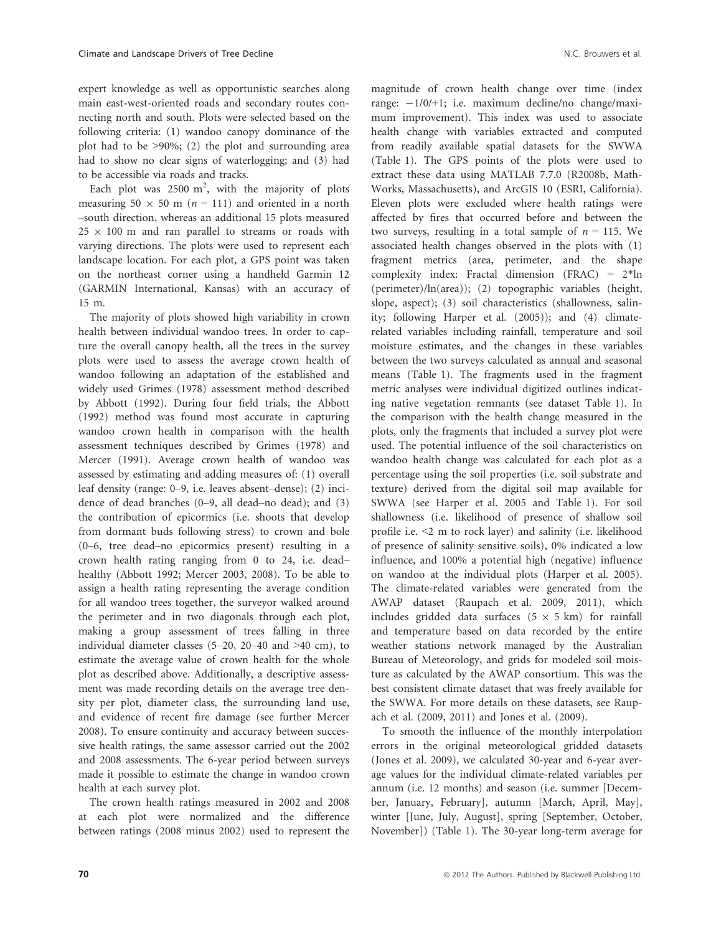expert knowledge as well as opportunistic searches along main east-west-oriented roads and secondary routes connecting north and south. Plots were selected based on the following criteria: (1) wandoo canopy dominance of the plot had to be >90%; (2) the plot and surrounding area had to show no clear signs of waterlogging; and (3) had to be accessible via roads and tracks.

Each plot was  $2500 \text{ m}^2$ , with the majority of plots measuring 50  $\times$  50 m (n = 111) and oriented in a north –south direction, whereas an additional 15 plots measured  $25 \times 100$  m and ran parallel to streams or roads with varying directions. The plots were used to represent each landscape location. For each plot, a GPS point was taken on the northeast corner using a handheld Garmin 12 (GARMIN International, Kansas) with an accuracy of 15 m.

The majority of plots showed high variability in crown health between individual wandoo trees. In order to capture the overall canopy health, all the trees in the survey plots were used to assess the average crown health of wandoo following an adaptation of the established and widely used Grimes (1978) assessment method described by Abbott (1992). During four field trials, the Abbott (1992) method was found most accurate in capturing wandoo crown health in comparison with the health assessment techniques described by Grimes (1978) and Mercer (1991). Average crown health of wandoo was assessed by estimating and adding measures of: (1) overall leaf density (range: 0–9, i.e. leaves absent–dense); (2) incidence of dead branches (0–9, all dead–no dead); and (3) the contribution of epicormics (i.e. shoots that develop from dormant buds following stress) to crown and bole (0–6, tree dead–no epicormics present) resulting in a crown health rating ranging from 0 to 24, i.e. dead– healthy (Abbott 1992; Mercer 2003, 2008). To be able to assign a health rating representing the average condition for all wandoo trees together, the surveyor walked around the perimeter and in two diagonals through each plot, making a group assessment of trees falling in three individual diameter classes (5–20, 20–40 and >40 cm), to estimate the average value of crown health for the whole plot as described above. Additionally, a descriptive assessment was made recording details on the average tree density per plot, diameter class, the surrounding land use, and evidence of recent fire damage (see further Mercer 2008). To ensure continuity and accuracy between successive health ratings, the same assessor carried out the 2002 and 2008 assessments. The 6-year period between surveys made it possible to estimate the change in wandoo crown health at each survey plot.

The crown health ratings measured in 2002 and 2008 at each plot were normalized and the difference between ratings (2008 minus 2002) used to represent the magnitude of crown health change over time (index range:  $-1/0/+1$ ; i.e. maximum decline/no change/maximum improvement). This index was used to associate health change with variables extracted and computed from readily available spatial datasets for the SWWA (Table 1). The GPS points of the plots were used to extract these data using MATLAB 7.7.0 (R2008b, Math-Works, Massachusetts), and ArcGIS 10 (ESRI, California). Eleven plots were excluded where health ratings were affected by fires that occurred before and between the two surveys, resulting in a total sample of  $n = 115$ . We associated health changes observed in the plots with (1) fragment metrics (area, perimeter, and the shape complexity index: Fractal dimension (FRAC) = 2\*ln (perimeter)/ln(area)); (2) topographic variables (height, slope, aspect); (3) soil characteristics (shallowness, salinity; following Harper et al. (2005)); and (4) climaterelated variables including rainfall, temperature and soil moisture estimates, and the changes in these variables between the two surveys calculated as annual and seasonal means (Table 1). The fragments used in the fragment metric analyses were individual digitized outlines indicating native vegetation remnants (see dataset Table 1). In the comparison with the health change measured in the plots, only the fragments that included a survey plot were used. The potential influence of the soil characteristics on wandoo health change was calculated for each plot as a percentage using the soil properties (i.e. soil substrate and texture) derived from the digital soil map available for SWWA (see Harper et al. 2005 and Table 1). For soil shallowness (i.e. likelihood of presence of shallow soil profile i.e. <2 m to rock layer) and salinity (i.e. likelihood of presence of salinity sensitive soils), 0% indicated a low influence, and 100% a potential high (negative) influence on wandoo at the individual plots (Harper et al. 2005). The climate-related variables were generated from the AWAP dataset (Raupach et al. 2009, 2011), which includes gridded data surfaces  $(5 \times 5 \text{ km})$  for rainfall and temperature based on data recorded by the entire weather stations network managed by the Australian Bureau of Meteorology, and grids for modeled soil moisture as calculated by the AWAP consortium. This was the best consistent climate dataset that was freely available for the SWWA. For more details on these datasets, see Raupach et al. (2009, 2011) and Jones et al. (2009).

To smooth the influence of the monthly interpolation errors in the original meteorological gridded datasets (Jones et al. 2009), we calculated 30-year and 6-year average values for the individual climate-related variables per annum (i.e. 12 months) and season (i.e. summer [December, January, February], autumn [March, April, May], winter [June, July, August], spring [September, October, November]) (Table 1). The 30-year long-term average for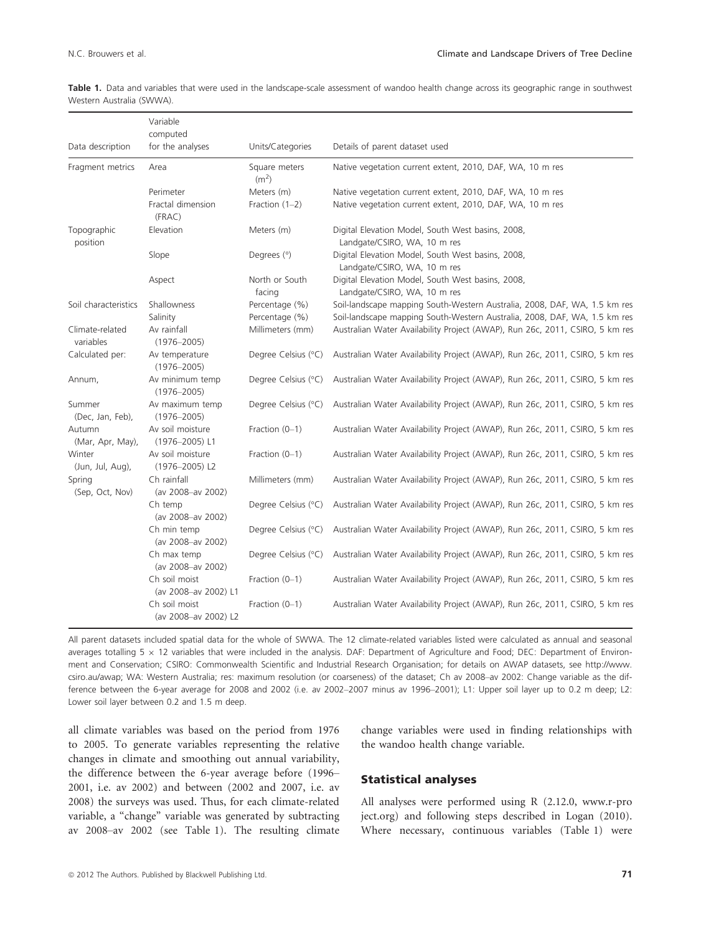| <b>Table 1.</b> Data and variables that were used in the landscape-scale assessment of wandoo health change across its geographic range in southwest |  |  |  |  |  |
|------------------------------------------------------------------------------------------------------------------------------------------------------|--|--|--|--|--|
| Western Australia (SWWA).                                                                                                                            |  |  |  |  |  |

|                              | Variable<br>computed                  |                                    |                                                                                   |
|------------------------------|---------------------------------------|------------------------------------|-----------------------------------------------------------------------------------|
| Data description             | for the analyses                      | Units/Categories                   | Details of parent dataset used                                                    |
| Fragment metrics             | Area                                  | Square meters<br>(m <sup>2</sup> ) | Native vegetation current extent, 2010, DAF, WA, 10 m res                         |
|                              | Perimeter                             | Meters (m)                         | Native vegetation current extent, 2010, DAF, WA, 10 m res                         |
|                              | Fractal dimension<br>(FRAC)           | Fraction $(1-2)$                   | Native vegetation current extent, 2010, DAF, WA, 10 m res                         |
| Topographic<br>position      | Elevation                             | Meters (m)                         | Digital Elevation Model, South West basins, 2008,<br>Landgate/CSIRO, WA, 10 m res |
|                              | Slope                                 | Degrees (°)                        | Digital Elevation Model, South West basins, 2008,<br>Landgate/CSIRO, WA, 10 m res |
|                              | Aspect                                | North or South<br>facing           | Digital Elevation Model, South West basins, 2008,<br>Landgate/CSIRO, WA, 10 m res |
| Soil characteristics         | Shallowness                           | Percentage (%)                     | Soil-landscape mapping South-Western Australia, 2008, DAF, WA, 1.5 km res         |
|                              | Salinity                              | Percentage (%)                     | Soil-landscape mapping South-Western Australia, 2008, DAF, WA, 1.5 km res         |
| Climate-related<br>variables | Av rainfall<br>$(1976 - 2005)$        | Millimeters (mm)                   | Australian Water Availability Project (AWAP), Run 26c, 2011, CSIRO, 5 km res      |
| Calculated per:              | Av temperature<br>$(1976 - 2005)$     | Degree Celsius (°C)                | Australian Water Availability Project (AWAP), Run 26c, 2011, CSIRO, 5 km res      |
| Annum,                       | Av minimum temp<br>$(1976 - 2005)$    | Degree Celsius (°C)                | Australian Water Availability Project (AWAP), Run 26c, 2011, CSIRO, 5 km res      |
| Summer<br>(Dec, Jan, Feb),   | Av maximum temp<br>$(1976 - 2005)$    | Degree Celsius (°C)                | Australian Water Availability Project (AWAP), Run 26c, 2011, CSIRO, 5 km res      |
| Autumn<br>(Mar, Apr, May),   | Av soil moisture<br>(1976-2005) L1    | Fraction $(0-1)$                   | Australian Water Availability Project (AWAP), Run 26c, 2011, CSIRO, 5 km res      |
| Winter<br>(Jun, Jul, Aug),   | Av soil moisture<br>(1976-2005) L2    | Fraction $(0-1)$                   | Australian Water Availability Project (AWAP), Run 26c, 2011, CSIRO, 5 km res      |
| Spring<br>(Sep, Oct, Nov)    | Ch rainfall<br>(av 2008-av 2002)      | Millimeters (mm)                   | Australian Water Availability Project (AWAP), Run 26c, 2011, CSIRO, 5 km res      |
|                              | Ch temp<br>(av 2008-av 2002)          | Degree Celsius (°C)                | Australian Water Availability Project (AWAP), Run 26c, 2011, CSIRO, 5 km res      |
|                              | Ch min temp<br>(av 2008-av 2002)      | Degree Celsius (°C)                | Australian Water Availability Project (AWAP), Run 26c, 2011, CSIRO, 5 km res      |
|                              | Ch max temp<br>(av 2008-av 2002)      | Degree Celsius (°C)                | Australian Water Availability Project (AWAP), Run 26c, 2011, CSIRO, 5 km res      |
|                              | Ch soil moist<br>(av 2008-av 2002) L1 | Fraction (0-1)                     | Australian Water Availability Project (AWAP), Run 26c, 2011, CSIRO, 5 km res      |
|                              | Ch soil moist<br>(av 2008-av 2002) L2 | Fraction (0-1)                     | Australian Water Availability Project (AWAP), Run 26c, 2011, CSIRO, 5 km res      |

All parent datasets included spatial data for the whole of SWWA. The 12 climate-related variables listed were calculated as annual and seasonal averages totalling 5 x 12 variables that were included in the analysis. DAF: Department of Agriculture and Food; DEC: Department of Environment and Conservation; CSIRO: Commonwealth Scientific and Industrial Research Organisation; for details on AWAP datasets, see http://www. csiro.au/awap; WA: Western Australia; res: maximum resolution (or coarseness) of the dataset; Ch av 2008–av 2002: Change variable as the difference between the 6-year average for 2008 and 2002 (i.e. av 2002–2007 minus av 1996–2001); L1: Upper soil layer up to 0.2 m deep; L2: Lower soil layer between 0.2 and 1.5 m deep.

all climate variables was based on the period from 1976 to 2005. To generate variables representing the relative changes in climate and smoothing out annual variability, the difference between the 6-year average before (1996– 2001, i.e. av 2002) and between (2002 and 2007, i.e. av 2008) the surveys was used. Thus, for each climate-related variable, a "change" variable was generated by subtracting av 2008–av 2002 (see Table 1). The resulting climate change variables were used in finding relationships with the wandoo health change variable.

### Statistical analyses

All analyses were performed using R (2.12.0, www.r-pro ject.org) and following steps described in Logan (2010). Where necessary, continuous variables (Table 1) were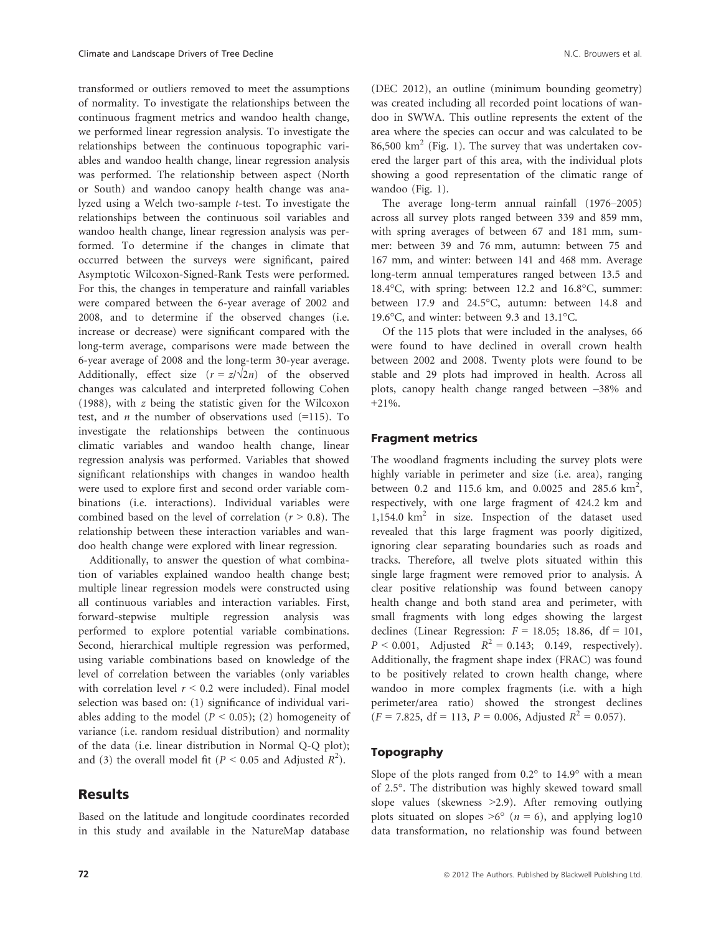transformed or outliers removed to meet the assumptions of normality. To investigate the relationships between the continuous fragment metrics and wandoo health change, we performed linear regression analysis. To investigate the relationships between the continuous topographic variables and wandoo health change, linear regression analysis was performed. The relationship between aspect (North or South) and wandoo canopy health change was analyzed using a Welch two-sample t-test. To investigate the relationships between the continuous soil variables and wandoo health change, linear regression analysis was performed. To determine if the changes in climate that occurred between the surveys were significant, paired Asymptotic Wilcoxon-Signed-Rank Tests were performed. For this, the changes in temperature and rainfall variables were compared between the 6-year average of 2002 and 2008, and to determine if the observed changes (i.e. increase or decrease) were significant compared with the long-term average, comparisons were made between the 6-year average of 2008 and the long-term 30-year average. Additionally, effect size  $(r = z/\sqrt{2n})$  of the observed changes was calculated and interpreted following Cohen (1988), with z being the statistic given for the Wilcoxon test, and *n* the number of observations used  $(=115)$ . To investigate the relationships between the continuous climatic variables and wandoo health change, linear regression analysis was performed. Variables that showed significant relationships with changes in wandoo health were used to explore first and second order variable combinations (i.e. interactions). Individual variables were combined based on the level of correlation  $(r > 0.8)$ . The relationship between these interaction variables and wandoo health change were explored with linear regression.

Additionally, to answer the question of what combination of variables explained wandoo health change best; multiple linear regression models were constructed using all continuous variables and interaction variables. First, forward-stepwise multiple regression analysis was performed to explore potential variable combinations. Second, hierarchical multiple regression was performed, using variable combinations based on knowledge of the level of correlation between the variables (only variables with correlation level  $r < 0.2$  were included). Final model selection was based on: (1) significance of individual variables adding to the model ( $P < 0.05$ ); (2) homogeneity of variance (i.e. random residual distribution) and normality of the data (i.e. linear distribution in Normal Q-Q plot); and (3) the overall model fit ( $P < 0.05$  and Adjusted  $R^2$ ).

# Results

Based on the latitude and longitude coordinates recorded in this study and available in the NatureMap database

(DEC 2012), an outline (minimum bounding geometry) was created including all recorded point locations of wandoo in SWWA. This outline represents the extent of the area where the species can occur and was calculated to be  $86,500$  km<sup>2</sup> (Fig. 1). The survey that was undertaken covered the larger part of this area, with the individual plots showing a good representation of the climatic range of wandoo (Fig. 1).

The average long-term annual rainfall (1976–2005) across all survey plots ranged between 339 and 859 mm, with spring averages of between 67 and 181 mm, summer: between 39 and 76 mm, autumn: between 75 and 167 mm, and winter: between 141 and 468 mm. Average long-term annual temperatures ranged between 13.5 and 18.4°C, with spring: between 12.2 and 16.8°C, summer: between 17.9 and 24.5°C, autumn: between 14.8 and 19.6°C, and winter: between 9.3 and 13.1°C.

Of the 115 plots that were included in the analyses, 66 were found to have declined in overall crown health between 2002 and 2008. Twenty plots were found to be stable and 29 plots had improved in health. Across all plots, canopy health change ranged between –38% and  $+21\%$ .

### Fragment metrics

The woodland fragments including the survey plots were highly variable in perimeter and size (i.e. area), ranging between 0.2 and 115.6 km, and 0.0025 and 285.6  $\text{km}^2$ , respectively, with one large fragment of 424.2 km and  $1,154.0 \text{ km}^2$  in size. Inspection of the dataset used revealed that this large fragment was poorly digitized, ignoring clear separating boundaries such as roads and tracks. Therefore, all twelve plots situated within this single large fragment were removed prior to analysis. A clear positive relationship was found between canopy health change and both stand area and perimeter, with small fragments with long edges showing the largest declines (Linear Regression:  $F = 18.05$ ; 18.86, df = 101,  $P < 0.001$ , Adjusted  $R^2 = 0.143$ ; 0.149, respectively). Additionally, the fragment shape index (FRAC) was found to be positively related to crown health change, where wandoo in more complex fragments (i.e. with a high perimeter/area ratio) showed the strongest declines  $(F = 7.825, df = 113, P = 0.006, Adjusted R<sup>2</sup> = 0.057).$ 

# Topography

Slope of the plots ranged from  $0.2^{\circ}$  to  $14.9^{\circ}$  with a mean of 2.5°. The distribution was highly skewed toward small slope values (skewness >2.9). After removing outlying plots situated on slopes  $>6^\circ$  ( $n = 6$ ), and applying log10 data transformation, no relationship was found between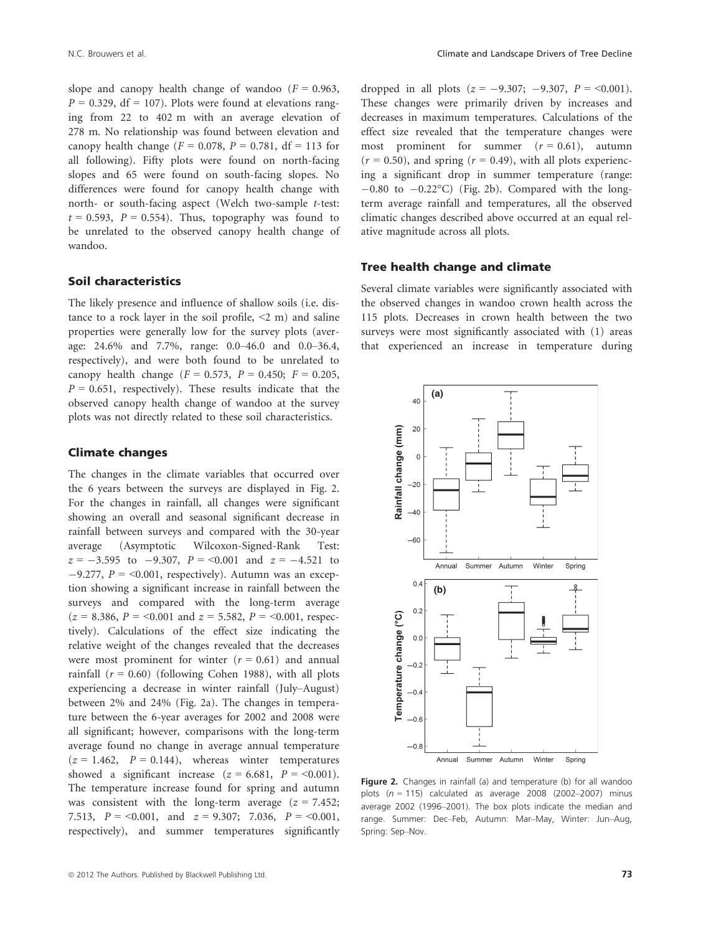slope and canopy health change of wandoo ( $F = 0.963$ ,  $P = 0.329$ , df = 107). Plots were found at elevations ranging from 22 to 402 m with an average elevation of 278 m. No relationship was found between elevation and canopy health change  $(F = 0.078, P = 0.781, df = 113$  for all following). Fifty plots were found on north-facing slopes and 65 were found on south-facing slopes. No differences were found for canopy health change with north- or south-facing aspect (Welch two-sample t-test:  $t = 0.593$ ,  $P = 0.554$ ). Thus, topography was found to be unrelated to the observed canopy health change of wandoo.

# Soil characteristics

The likely presence and influence of shallow soils (i.e. distance to a rock layer in the soil profile,  $\leq 2$  m) and saline properties were generally low for the survey plots (average: 24.6% and 7.7%, range: 0.0–46.0 and 0.0–36.4, respectively), and were both found to be unrelated to canopy health change ( $F = 0.573$ ,  $P = 0.450$ ;  $F = 0.205$ ,  $P = 0.651$ , respectively). These results indicate that the observed canopy health change of wandoo at the survey plots was not directly related to these soil characteristics.

### Climate changes

The changes in the climate variables that occurred over the 6 years between the surveys are displayed in Fig. 2. For the changes in rainfall, all changes were significant showing an overall and seasonal significant decrease in rainfall between surveys and compared with the 30-year average (Asymptotic Wilcoxon-Signed-Rank Test:  $z = -3.595$  to  $-9.307$ ,  $P = \le 0.001$  and  $z = -4.521$  to  $-9.277$ ,  $P = 0.001$ , respectively). Autumn was an exception showing a significant increase in rainfall between the surveys and compared with the long-term average  $(z = 8.386, P = 0.001$  and  $z = 5.582, P = 0.001$ , respectively). Calculations of the effect size indicating the relative weight of the changes revealed that the decreases were most prominent for winter  $(r = 0.61)$  and annual rainfall  $(r = 0.60)$  (following Cohen 1988), with all plots experiencing a decrease in winter rainfall (July–August) between 2% and 24% (Fig. 2a). The changes in temperature between the 6-year averages for 2002 and 2008 were all significant; however, comparisons with the long-term average found no change in average annual temperature  $(z = 1.462, P = 0.144)$ , whereas winter temperatures showed a significant increase  $(z = 6.681, P = 6.001)$ . The temperature increase found for spring and autumn was consistent with the long-term average  $(z = 7.452;$ 7.513,  $P = 0.001$ , and  $z = 9.307$ ; 7.036,  $P = 0.001$ , respectively), and summer temperatures significantly dropped in all plots  $(z = -9.307; -9.307, P = <0.001)$ . These changes were primarily driven by increases and decreases in maximum temperatures. Calculations of the effect size revealed that the temperature changes were most prominent for summer  $(r = 0.61)$ , autumn  $(r = 0.50)$ , and spring  $(r = 0.49)$ , with all plots experiencing a significant drop in summer temperature (range:  $-0.80$  to  $-0.22$ °C) (Fig. 2b). Compared with the longterm average rainfall and temperatures, all the observed climatic changes described above occurred at an equal relative magnitude across all plots.

### Tree health change and climate

Several climate variables were significantly associated with the observed changes in wandoo crown health across the 115 plots. Decreases in crown health between the two surveys were most significantly associated with (1) areas that experienced an increase in temperature during



Figure 2. Changes in rainfall (a) and temperature (b) for all wandoo plots  $(n = 115)$  calculated as average 2008 (2002–2007) minus average 2002 (1996–2001). The box plots indicate the median and range. Summer: Dec–Feb, Autumn: Mar–May, Winter: Jun–Aug, Spring: Sep–Nov.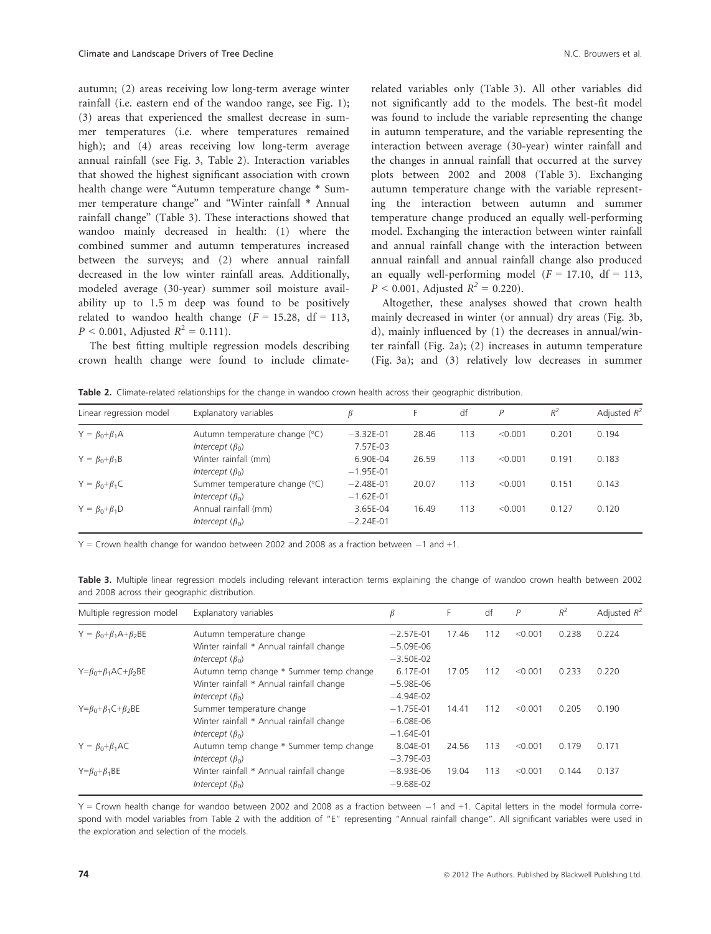autumn; (2) areas receiving low long-term average winter rainfall (i.e. eastern end of the wandoo range, see Fig. 1); (3) areas that experienced the smallest decrease in summer temperatures (i.e. where temperatures remained high); and (4) areas receiving low long-term average annual rainfall (see Fig. 3, Table 2). Interaction variables that showed the highest significant association with crown health change were "Autumn temperature change \* Summer temperature change" and "Winter rainfall \* Annual rainfall change" (Table 3). These interactions showed that wandoo mainly decreased in health: (1) where the combined summer and autumn temperatures increased between the surveys; and (2) where annual rainfall decreased in the low winter rainfall areas. Additionally, modeled average (30-year) summer soil moisture availability up to 1.5 m deep was found to be positively related to wandoo health change ( $F = 15.28$ , df = 113,  $P < 0.001$ , Adjusted  $R^2 = 0.111$ ).

The best fitting multiple regression models describing crown health change were found to include climaterelated variables only (Table 3). All other variables did not significantly add to the models. The best-fit model was found to include the variable representing the change in autumn temperature, and the variable representing the interaction between average (30-year) winter rainfall and the changes in annual rainfall that occurred at the survey plots between 2002 and 2008 (Table 3). Exchanging autumn temperature change with the variable representing the interaction between autumn and summer temperature change produced an equally well-performing model. Exchanging the interaction between winter rainfall and annual rainfall change with the interaction between annual rainfall and annual rainfall change also produced an equally well-performing model ( $F = 17.10$ , df = 113,  $P < 0.001$ , Adjusted  $R^2 = 0.220$ ).

Altogether, these analyses showed that crown health mainly decreased in winter (or annual) dry areas (Fig. 3b, d), mainly influenced by (1) the decreases in annual/winter rainfall (Fig. 2a); (2) increases in autumn temperature (Fig. 3a); and (3) relatively low decreases in summer

Table 2. Climate-related relationships for the change in wandoo crown health across their geographic distribution.

| Linear regression model   | Explanatory variables                                                  | β                                      | F.    | df  | P       | $R^2$ | Adjusted $R^2$ |
|---------------------------|------------------------------------------------------------------------|----------------------------------------|-------|-----|---------|-------|----------------|
| $Y = \beta_0 + \beta_1 A$ | Autumn temperature change (°C)<br>Intercept $(\beta_0)$                | $-3.32E-01$<br>7.57E-03                | 28.46 | 113 | < 0.001 | 0.201 | 0.194          |
| $Y = \beta_0 + \beta_1 B$ | Winter rainfall (mm)                                                   | 6.90E-04<br>$-1.95E-01$                | 26.59 | 113 | < 0.001 | 0.191 | 0.183          |
| $Y = \beta_0 + \beta_1 C$ | Intercept $(\beta_0)$<br>Summer temperature change (°C)                | $-2.48E - 01$                          | 20.07 | 113 | < 0.001 | 0.151 | 0.143          |
| $Y = \beta_0 + \beta_1 D$ | Intercept $(\beta_0)$<br>Annual rainfall (mm)<br>Intercept $(\beta_0)$ | $-1.62E-01$<br>3.65E-04<br>$-2.24E-01$ | 16.49 | 113 | < 0.001 | 0.127 | 0.120          |

 $Y =$  Crown health change for wandoo between 2002 and 2008 as a fraction between  $-1$  and  $+1$ .

Table 3. Multiple linear regression models including relevant interaction terms explaining the change of wandoo crown health between 2002 and 2008 across their geographic distribution.

| Multiple regression model               | Explanatory variables                    | β             | F     | df  | P       | $R^2$ | Adjusted $R^2$ |
|-----------------------------------------|------------------------------------------|---------------|-------|-----|---------|-------|----------------|
| $Y = \beta_0 + \beta_1 A + \beta_2 BE$  | Autumn temperature change                | $-2.57E-01$   | 17.46 | 112 | < 0.001 | 0.238 | 0.224          |
|                                         | Winter rainfall * Annual rainfall change | $-5.09E-06$   |       |     |         |       |                |
|                                         | Intercept $(\beta_0)$                    | $-3.50E-02$   |       |     |         |       |                |
| $Y = \beta_0 + \beta_1 AC + \beta_2 BE$ | Autumn temp change * Summer temp change  | 6.17E-01      | 17.05 | 112 | < 0.001 | 0.233 | 0.220          |
|                                         | Winter rainfall * Annual rainfall change | $-5.98E-06$   |       |     |         |       |                |
|                                         | Intercept $(\beta_0)$                    | $-4.94E-02$   |       |     |         |       |                |
| $Y = \beta_0 + \beta_1 C + \beta_2 BE$  | Summer temperature change                | $-1.75E-01$   | 14.41 | 112 | < 0.001 | 0.205 | 0.190          |
|                                         | Winter rainfall * Annual rainfall change | $-6.08E - 06$ |       |     |         |       |                |
|                                         | Intercept $(\beta_0)$                    | $-1.64E-01$   |       |     |         |       |                |
| $Y = \beta_0 + \beta_1 AC$              | Autumn temp change * Summer temp change  | 8.04E-01      | 24.56 | 113 | < 0.001 | 0.179 | 0.171          |
|                                         | Intercept $(\beta_0)$                    | $-3.79E-03$   |       |     |         |       |                |
| $Y = \beta_0 + \beta_1 BE$              | Winter rainfall * Annual rainfall change | $-8.93E-06$   | 19.04 | 113 | < 0.001 | 0.144 | 0.137          |
|                                         | Intercept $(\beta_0)$                    | $-9.68E-02$   |       |     |         |       |                |

 $Y =$  Crown health change for wandoo between 2002 and 2008 as a fraction between  $-1$  and +1. Capital letters in the model formula correspond with model variables from Table 2 with the addition of "E" representing "Annual rainfall change". All significant variables were used in the exploration and selection of the models.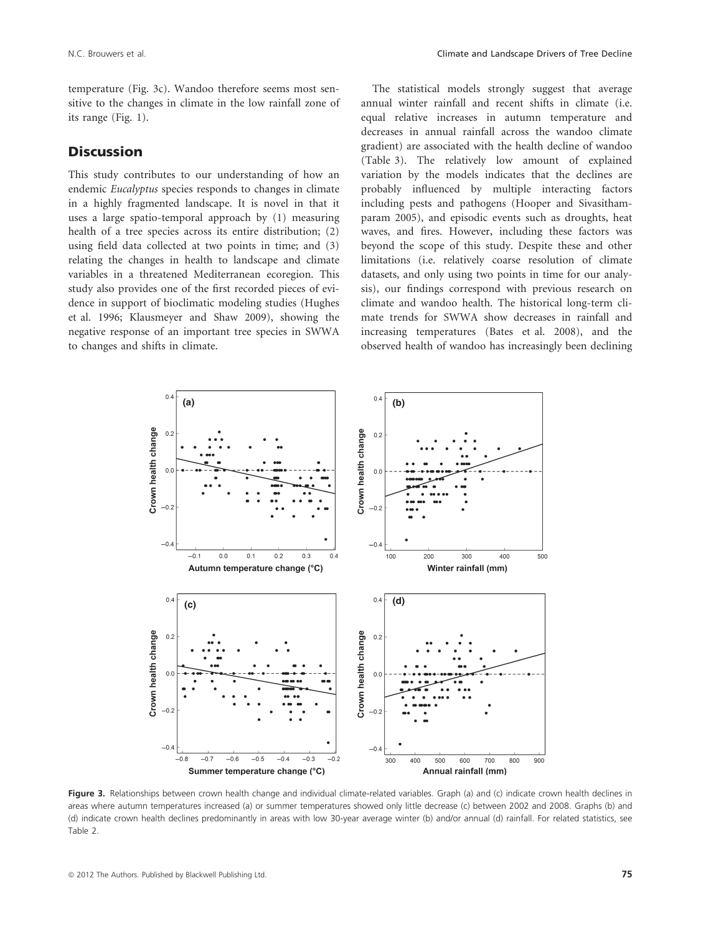temperature (Fig. 3c). Wandoo therefore seems most sensitive to the changes in climate in the low rainfall zone of its range (Fig. 1).

# **Discussion**

This study contributes to our understanding of how an endemic Eucalyptus species responds to changes in climate in a highly fragmented landscape. It is novel in that it uses a large spatio-temporal approach by (1) measuring health of a tree species across its entire distribution; (2) using field data collected at two points in time; and (3) relating the changes in health to landscape and climate variables in a threatened Mediterranean ecoregion. This study also provides one of the first recorded pieces of evidence in support of bioclimatic modeling studies (Hughes et al. 1996; Klausmeyer and Shaw 2009), showing the negative response of an important tree species in SWWA to changes and shifts in climate.

The statistical models strongly suggest that average annual winter rainfall and recent shifts in climate (i.e. equal relative increases in autumn temperature and decreases in annual rainfall across the wandoo climate gradient) are associated with the health decline of wandoo (Table 3). The relatively low amount of explained variation by the models indicates that the declines are probably influenced by multiple interacting factors including pests and pathogens (Hooper and Sivasithamparam 2005), and episodic events such as droughts, heat waves, and fires. However, including these factors was beyond the scope of this study. Despite these and other limitations (i.e. relatively coarse resolution of climate datasets, and only using two points in time for our analysis), our findings correspond with previous research on climate and wandoo health. The historical long-term climate trends for SWWA show decreases in rainfall and increasing temperatures (Bates et al. 2008), and the observed health of wandoo has increasingly been declining



Figure 3. Relationships between crown health change and individual climate-related variables. Graph (a) and (c) indicate crown health declines in areas where autumn temperatures increased (a) or summer temperatures showed only little decrease (c) between 2002 and 2008. Graphs (b) and (d) indicate crown health declines predominantly in areas with low 30-year average winter (b) and/or annual (d) rainfall. For related statistics, see Table 2.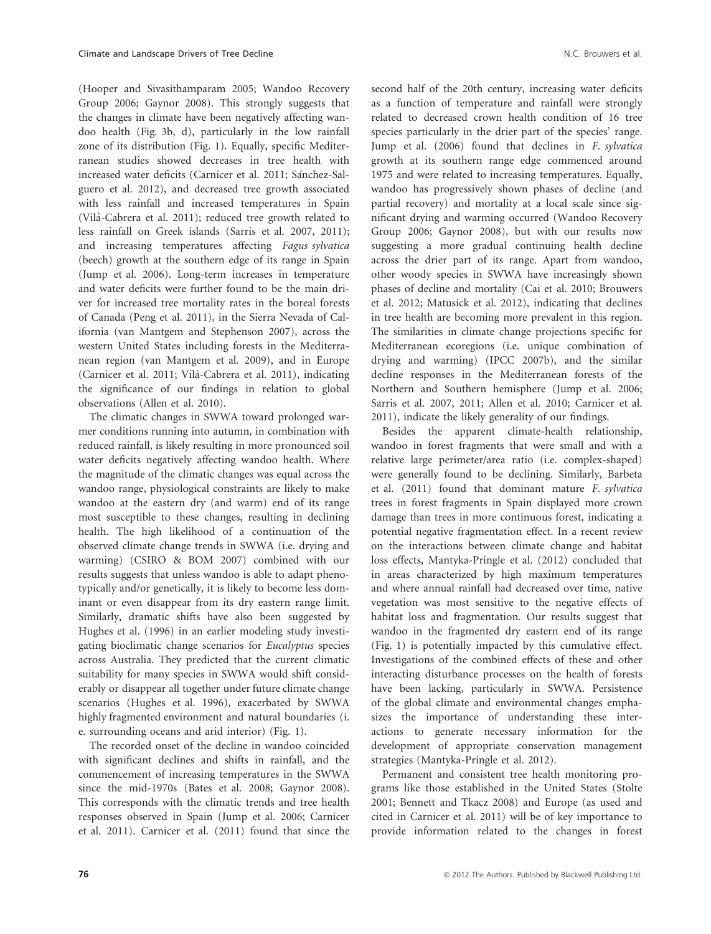(Hooper and Sivasithamparam 2005; Wandoo Recovery Group 2006; Gaynor 2008). This strongly suggests that the changes in climate have been negatively affecting wandoo health (Fig. 3b, d), particularly in the low rainfall zone of its distribution (Fig. 1). Equally, specific Mediterranean studies showed decreases in tree health with increased water deficits (Carnicer et al. 2011; Sánchez-Salguero et al. 2012), and decreased tree growth associated with less rainfall and increased temperatures in Spain (Vila-Cabrera et al. 2011); reduced tree growth related to less rainfall on Greek islands (Sarris et al. 2007, 2011); and increasing temperatures affecting Fagus sylvatica (beech) growth at the southern edge of its range in Spain (Jump et al. 2006). Long-term increases in temperature and water deficits were further found to be the main driver for increased tree mortality rates in the boreal forests of Canada (Peng et al. 2011), in the Sierra Nevada of California (van Mantgem and Stephenson 2007), across the western United States including forests in the Mediterranean region (van Mantgem et al. 2009), and in Europe (Carnicer et al. 2011; Vila-Cabrera et al. 2011), indicating the significance of our findings in relation to global observations (Allen et al. 2010).

The climatic changes in SWWA toward prolonged warmer conditions running into autumn, in combination with reduced rainfall, is likely resulting in more pronounced soil water deficits negatively affecting wandoo health. Where the magnitude of the climatic changes was equal across the wandoo range, physiological constraints are likely to make wandoo at the eastern dry (and warm) end of its range most susceptible to these changes, resulting in declining health. The high likelihood of a continuation of the observed climate change trends in SWWA (i.e. drying and warming) (CSIRO & BOM 2007) combined with our results suggests that unless wandoo is able to adapt phenotypically and/or genetically, it is likely to become less dominant or even disappear from its dry eastern range limit. Similarly, dramatic shifts have also been suggested by Hughes et al. (1996) in an earlier modeling study investigating bioclimatic change scenarios for Eucalyptus species across Australia. They predicted that the current climatic suitability for many species in SWWA would shift considerably or disappear all together under future climate change scenarios (Hughes et al. 1996), exacerbated by SWWA highly fragmented environment and natural boundaries (i. e. surrounding oceans and arid interior) (Fig. 1).

The recorded onset of the decline in wandoo coincided with significant declines and shifts in rainfall, and the commencement of increasing temperatures in the SWWA since the mid-1970s (Bates et al. 2008; Gaynor 2008). This corresponds with the climatic trends and tree health responses observed in Spain (Jump et al. 2006; Carnicer et al. 2011). Carnicer et al. (2011) found that since the second half of the 20th century, increasing water deficits as a function of temperature and rainfall were strongly related to decreased crown health condition of 16 tree species particularly in the drier part of the species' range. Jump et al. (2006) found that declines in F. sylvatica growth at its southern range edge commenced around 1975 and were related to increasing temperatures. Equally, wandoo has progressively shown phases of decline (and partial recovery) and mortality at a local scale since significant drying and warming occurred (Wandoo Recovery Group 2006; Gaynor 2008), but with our results now suggesting a more gradual continuing health decline across the drier part of its range. Apart from wandoo, other woody species in SWWA have increasingly shown phases of decline and mortality (Cai et al. 2010; Brouwers et al. 2012; Matusick et al. 2012), indicating that declines in tree health are becoming more prevalent in this region. The similarities in climate change projections specific for Mediterranean ecoregions (i.e. unique combination of drying and warming) (IPCC 2007b), and the similar decline responses in the Mediterranean forests of the Northern and Southern hemisphere (Jump et al. 2006; Sarris et al. 2007, 2011; Allen et al. 2010; Carnicer et al. 2011), indicate the likely generality of our findings.

Besides the apparent climate-health relationship, wandoo in forest fragments that were small and with a relative large perimeter/area ratio (i.e. complex-shaped) were generally found to be declining. Similarly, Barbeta et al. (2011) found that dominant mature F. sylvatica trees in forest fragments in Spain displayed more crown damage than trees in more continuous forest, indicating a potential negative fragmentation effect. In a recent review on the interactions between climate change and habitat loss effects, Mantyka-Pringle et al. (2012) concluded that in areas characterized by high maximum temperatures and where annual rainfall had decreased over time, native vegetation was most sensitive to the negative effects of habitat loss and fragmentation. Our results suggest that wandoo in the fragmented dry eastern end of its range (Fig. 1) is potentially impacted by this cumulative effect. Investigations of the combined effects of these and other interacting disturbance processes on the health of forests have been lacking, particularly in SWWA. Persistence of the global climate and environmental changes emphasizes the importance of understanding these interactions to generate necessary information for the development of appropriate conservation management strategies (Mantyka-Pringle et al. 2012).

Permanent and consistent tree health monitoring programs like those established in the United States (Stolte 2001; Bennett and Tkacz 2008) and Europe (as used and cited in Carnicer et al. 2011) will be of key importance to provide information related to the changes in forest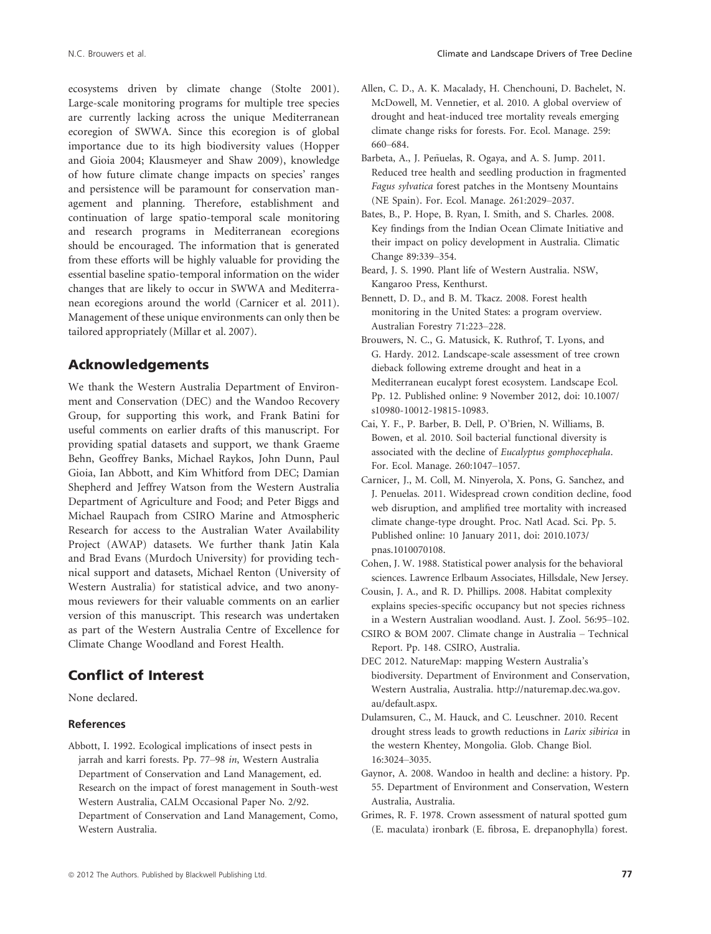ecosystems driven by climate change (Stolte 2001). Large-scale monitoring programs for multiple tree species are currently lacking across the unique Mediterranean ecoregion of SWWA. Since this ecoregion is of global importance due to its high biodiversity values (Hopper and Gioia 2004; Klausmeyer and Shaw 2009), knowledge of how future climate change impacts on species' ranges and persistence will be paramount for conservation management and planning. Therefore, establishment and continuation of large spatio-temporal scale monitoring and research programs in Mediterranean ecoregions should be encouraged. The information that is generated from these efforts will be highly valuable for providing the essential baseline spatio-temporal information on the wider changes that are likely to occur in SWWA and Mediterranean ecoregions around the world (Carnicer et al. 2011). Management of these unique environments can only then be tailored appropriately (Millar et al. 2007).

# Acknowledgements

We thank the Western Australia Department of Environment and Conservation (DEC) and the Wandoo Recovery Group, for supporting this work, and Frank Batini for useful comments on earlier drafts of this manuscript. For providing spatial datasets and support, we thank Graeme Behn, Geoffrey Banks, Michael Raykos, John Dunn, Paul Gioia, Ian Abbott, and Kim Whitford from DEC; Damian Shepherd and Jeffrey Watson from the Western Australia Department of Agriculture and Food; and Peter Biggs and Michael Raupach from CSIRO Marine and Atmospheric Research for access to the Australian Water Availability Project (AWAP) datasets. We further thank Jatin Kala and Brad Evans (Murdoch University) for providing technical support and datasets, Michael Renton (University of Western Australia) for statistical advice, and two anonymous reviewers for their valuable comments on an earlier version of this manuscript. This research was undertaken as part of the Western Australia Centre of Excellence for Climate Change Woodland and Forest Health.

# Conflict of Interest

None declared.

### References

Abbott, I. 1992. Ecological implications of insect pests in jarrah and karri forests. Pp. 77–98 in, Western Australia Department of Conservation and Land Management, ed. Research on the impact of forest management in South-west Western Australia, CALM Occasional Paper No. 2/92. Department of Conservation and Land Management, Como, Western Australia.

- Allen, C. D., A. K. Macalady, H. Chenchouni, D. Bachelet, N. McDowell, M. Vennetier, et al. 2010. A global overview of drought and heat-induced tree mortality reveals emerging climate change risks for forests. For. Ecol. Manage. 259: 660–684.
- Barbeta, A., J. Peñuelas, R. Ogaya, and A. S. Jump. 2011. Reduced tree health and seedling production in fragmented Fagus sylvatica forest patches in the Montseny Mountains (NE Spain). For. Ecol. Manage. 261:2029–2037.
- Bates, B., P. Hope, B. Ryan, I. Smith, and S. Charles. 2008. Key findings from the Indian Ocean Climate Initiative and their impact on policy development in Australia. Climatic Change 89:339–354.
- Beard, J. S. 1990. Plant life of Western Australia. NSW, Kangaroo Press, Kenthurst.
- Bennett, D. D., and B. M. Tkacz. 2008. Forest health monitoring in the United States: a program overview. Australian Forestry 71:223–228.
- Brouwers, N. C., G. Matusick, K. Ruthrof, T. Lyons, and G. Hardy. 2012. Landscape-scale assessment of tree crown dieback following extreme drought and heat in a Mediterranean eucalypt forest ecosystem. Landscape Ecol. Pp. 12. Published online: 9 November 2012, doi: 10.1007/ s10980-10012-19815-10983.
- Cai, Y. F., P. Barber, B. Dell, P. O'Brien, N. Williams, B. Bowen, et al. 2010. Soil bacterial functional diversity is associated with the decline of Eucalyptus gomphocephala. For. Ecol. Manage. 260:1047–1057.
- Carnicer, J., M. Coll, M. Ninyerola, X. Pons, G. Sanchez, and J. Penuelas. 2011. Widespread crown condition decline, food web disruption, and amplified tree mortality with increased climate change-type drought. Proc. Natl Acad. Sci. Pp. 5. Published online: 10 January 2011, doi: 2010.1073/ pnas.1010070108.
- Cohen, J. W. 1988. Statistical power analysis for the behavioral sciences. Lawrence Erlbaum Associates, Hillsdale, New Jersey.
- Cousin, J. A., and R. D. Phillips. 2008. Habitat complexity explains species-specific occupancy but not species richness in a Western Australian woodland. Aust. J. Zool. 56:95–102.
- CSIRO & BOM 2007. Climate change in Australia Technical Report. Pp. 148. CSIRO, Australia.
- DEC 2012. NatureMap: mapping Western Australia's biodiversity. Department of Environment and Conservation, Western Australia, Australia. http://naturemap.dec.wa.gov. au/default.aspx.
- Dulamsuren, C., M. Hauck, and C. Leuschner. 2010. Recent drought stress leads to growth reductions in Larix sibirica in the western Khentey, Mongolia. Glob. Change Biol. 16:3024–3035.
- Gaynor, A. 2008. Wandoo in health and decline: a history. Pp. 55. Department of Environment and Conservation, Western Australia, Australia.
- Grimes, R. F. 1978. Crown assessment of natural spotted gum (E. maculata) ironbark (E. fibrosa, E. drepanophylla) forest.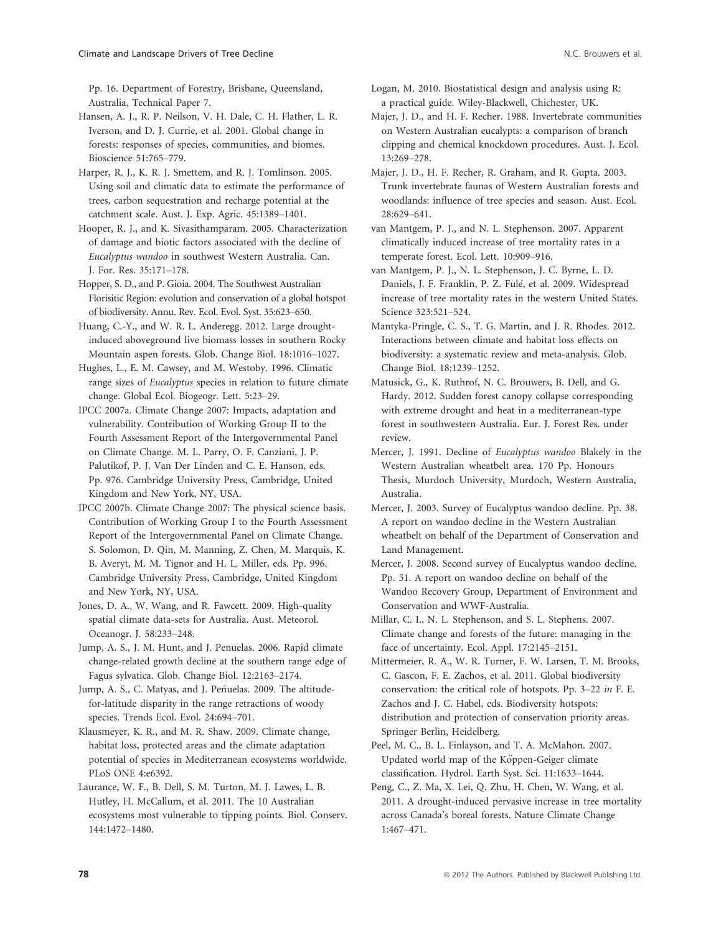Pp. 16. Department of Forestry, Brisbane, Queensland, Australia, Technical Paper 7.

Hansen, A. J., R. P. Neilson, V. H. Dale, C. H. Flather, L. R. Iverson, and D. J. Currie, et al. 2001. Global change in forests: responses of species, communities, and biomes. Bioscience 51:765–779.

Harper, R. J., K. R. J. Smettem, and R. J. Tomlinson. 2005. Using soil and climatic data to estimate the performance of trees, carbon sequestration and recharge potential at the catchment scale. Aust. J. Exp. Agric. 45:1389–1401.

Hooper, R. J., and K. Sivasithamparam. 2005. Characterization of damage and biotic factors associated with the decline of Eucalyptus wandoo in southwest Western Australia. Can. J. For. Res. 35:171–178.

Hopper, S. D., and P. Gioia. 2004. The Southwest Australian Florisitic Region: evolution and conservation of a global hotspot of biodiversity. Annu. Rev. Ecol. Evol. Syst. 35:623–650.

Huang, C.-Y., and W. R. L. Anderegg. 2012. Large droughtinduced aboveground live biomass losses in southern Rocky Mountain aspen forests. Glob. Change Biol. 18:1016–1027.

Hughes, L., E. M. Cawsey, and M. Westoby. 1996. Climatic range sizes of Eucalyptus species in relation to future climate change. Global Ecol. Biogeogr. Lett. 5:23–29.

IPCC 2007a. Climate Change 2007: Impacts, adaptation and vulnerability. Contribution of Working Group II to the Fourth Assessment Report of the Intergovernmental Panel on Climate Change. M. L. Parry, O. F. Canziani, J. P. Palutikof, P. J. Van Der Linden and C. E. Hanson, eds. Pp. 976. Cambridge University Press, Cambridge, United Kingdom and New York, NY, USA.

IPCC 2007b. Climate Change 2007: The physical science basis. Contribution of Working Group I to the Fourth Assessment Report of the Intergovernmental Panel on Climate Change. S. Solomon, D. Qin, M. Manning, Z. Chen, M. Marquis, K. B. Averyt, M. M. Tignor and H. L. Miller, eds. Pp. 996. Cambridge University Press, Cambridge, United Kingdom and New York, NY, USA.

Jones, D. A., W. Wang, and R. Fawcett. 2009. High-quality spatial climate data-sets for Australia. Aust. Meteorol. Oceanogr. J. 58:233–248.

Jump, A. S., J. M. Hunt, and J. Penuelas. 2006. Rapid climate change-related growth decline at the southern range edge of Fagus sylvatica. Glob. Change Biol. 12:2163–2174.

Jump, A. S., C. Matyas, and J. Peñuelas. 2009. The altitudefor-latitude disparity in the range retractions of woody species. Trends Ecol. Evol. 24:694–701.

Klausmeyer, K. R., and M. R. Shaw. 2009. Climate change, habitat loss, protected areas and the climate adaptation potential of species in Mediterranean ecosystems worldwide. PLoS ONE 4:e6392.

Laurance, W. F., B. Dell, S. M. Turton, M. J. Lawes, L. B. Hutley, H. McCallum, et al. 2011. The 10 Australian ecosystems most vulnerable to tipping points. Biol. Conserv. 144:1472–1480.

Logan, M. 2010. Biostatistical design and analysis using R: a practical guide. Wiley-Blackwell, Chichester, UK.

Majer, J. D., and H. F. Recher. 1988. Invertebrate communities on Western Australian eucalypts: a comparison of branch clipping and chemical knockdown procedures. Aust. J. Ecol. 13:269–278.

Majer, J. D., H. F. Recher, R. Graham, and R. Gupta. 2003. Trunk invertebrate faunas of Western Australian forests and woodlands: influence of tree species and season. Aust. Ecol. 28:629–641.

van Mantgem, P. J., and N. L. Stephenson. 2007. Apparent climatically induced increase of tree mortality rates in a temperate forest. Ecol. Lett. 10:909–916.

van Mantgem, P. J., N. L. Stephenson, J. C. Byrne, L. D. Daniels, J. F. Franklin, P. Z. Fule, et al. 2009. Widespread increase of tree mortality rates in the western United States. Science 323:521–524.

Mantyka-Pringle, C. S., T. G. Martin, and J. R. Rhodes. 2012. Interactions between climate and habitat loss effects on biodiversity: a systematic review and meta-analysis. Glob. Change Biol. 18:1239–1252.

Matusick, G., K. Ruthrof, N. C. Brouwers, B. Dell, and G. Hardy. 2012. Sudden forest canopy collapse corresponding with extreme drought and heat in a mediterranean-type forest in southwestern Australia. Eur. J. Forest Res. under review.

Mercer, J. 1991. Decline of Eucalyptus wandoo Blakely in the Western Australian wheatbelt area. 170 Pp. Honours Thesis, Murdoch University, Murdoch, Western Australia, Australia.

Mercer, J. 2003. Survey of Eucalyptus wandoo decline. Pp. 38. A report on wandoo decline in the Western Australian wheatbelt on behalf of the Department of Conservation and Land Management.

Mercer, J. 2008. Second survey of Eucalyptus wandoo decline. Pp. 51. A report on wandoo decline on behalf of the Wandoo Recovery Group, Department of Environment and Conservation and WWF-Australia.

Millar, C. I., N. L. Stephenson, and S. L. Stephens. 2007. Climate change and forests of the future: managing in the face of uncertainty. Ecol. Appl. 17:2145–2151.

Mittermeier, R. A., W. R. Turner, F. W. Larsen, T. M. Brooks, C. Gascon, F. E. Zachos, et al. 2011. Global biodiversity conservation: the critical role of hotspots. Pp. 3–22 in F. E. Zachos and J. C. Habel, eds. Biodiversity hotspots: distribution and protection of conservation priority areas. Springer Berlin, Heidelberg.

Peel, M. C., B. L. Finlayson, and T. A. McMahon. 2007. Updated world map of the Köppen-Geiger climate classification. Hydrol. Earth Syst. Sci. 11:1633–1644.

Peng, C., Z. Ma, X. Lei, Q. Zhu, H. Chen, W. Wang, et al. 2011. A drought-induced pervasive increase in tree mortality across Canada's boreal forests. Nature Climate Change 1:467–471.